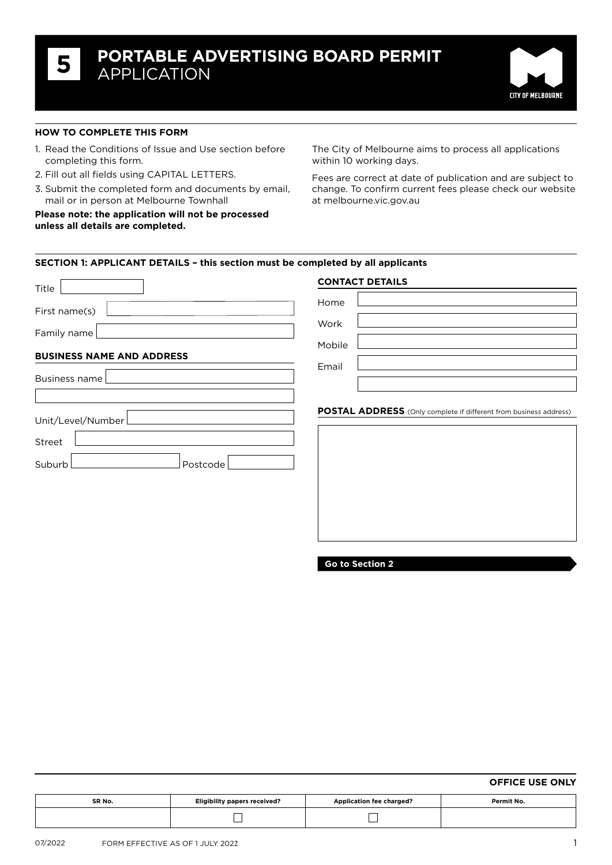

## **How to complete this form**

- 1. Read the Conditions of Issue and Use section before completing this form.
- 2. Fill out all fields using CAPITAL LETTERS.
- 3. Submit the completed form and documents by email, mail or in person at Melbourne Townhall

**Please note: the application will not be processed unless all details are completed.** 

The City of Melbourne aims to process all applications within 10 working days.

Fees are correct at date of publication and are subject to change. To confirm current fees please check our website at [melbourne.vic.gov.au](http://www.melbourne.vic.gov.au)

### **SECTION 1: APPLICANT DETAILS – this section must be completed by all applicants**

| Title                                             | <b>CONTACT DETAILS</b>                                                   |
|---------------------------------------------------|--------------------------------------------------------------------------|
| First name(s)                                     | Home                                                                     |
| Family name                                       | Work                                                                     |
|                                                   | Mobile                                                                   |
| <b>BUSINESS NAME AND ADDRESS</b><br>Business name | Email                                                                    |
| Unit/Level/Number<br>Street<br>Suburb<br>Postcode | <b>POSTAL ADDRESS</b> (Only complete if different from business address) |

**Go to Section 2**

## **Office use only**

| SR No.<br>the contract of the contract of the | <b>Eligibility papers received?</b> | <b>Application fee charged?</b> | Permit No. |  |
|-----------------------------------------------|-------------------------------------|---------------------------------|------------|--|
|                                               |                                     |                                 |            |  |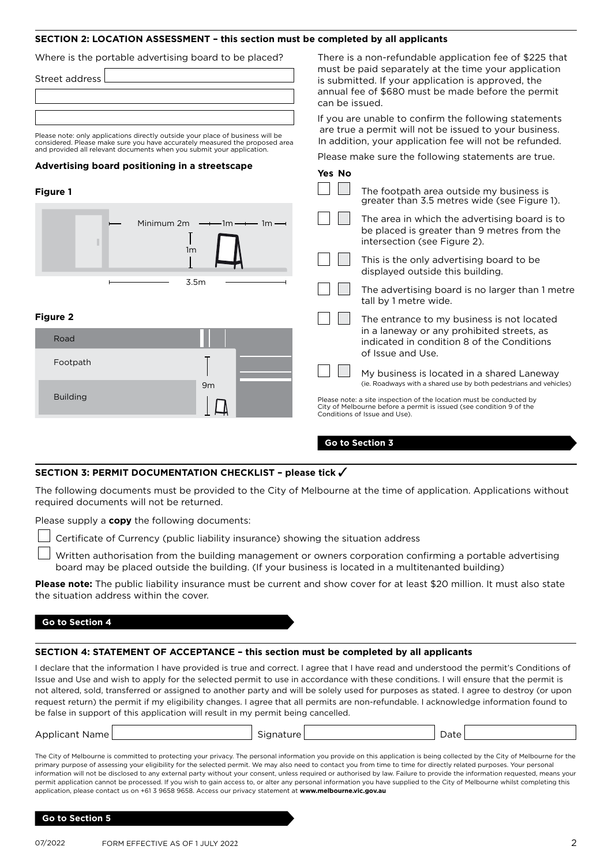## **SECTION 2: Location assessment – this section must be completed by all applicants**

| Where is the portable advertising board to be placed?<br>Street address                                                                                                                                                                                                                  | There is a non-refundable application fee of \$225 that<br>must be paid separately at the time your application<br>is submitted. If your application is approved, the<br>annual fee of \$680 must be made before the permit<br>can be issued.                                                                                                                                                                                                                 |  |  |  |
|------------------------------------------------------------------------------------------------------------------------------------------------------------------------------------------------------------------------------------------------------------------------------------------|---------------------------------------------------------------------------------------------------------------------------------------------------------------------------------------------------------------------------------------------------------------------------------------------------------------------------------------------------------------------------------------------------------------------------------------------------------------|--|--|--|
| Please note: only applications directly outside your place of business will be<br>considered. Please make sure you have accurately measured the proposed area<br>and provided all relevant documents when you submit your application.<br>Advertising board positioning in a streetscape | If you are unable to confirm the following statements<br>are true a permit will not be issued to your business.<br>In addition, your application fee will not be refunded.<br>Please make sure the following statements are true.<br>Yes No                                                                                                                                                                                                                   |  |  |  |
| <b>Figure 1</b><br>Minimum $2m \rightarrow 1m \rightarrow 1m$<br>1 <sub>m</sub><br>3.5m                                                                                                                                                                                                  | The footpath area outside my business is<br>greater than 3.5 metres wide (see Figure 1).<br>The area in which the advertising board is to<br>be placed is greater than 9 metres from the<br>intersection (see Figure 2).<br>This is the only advertising board to be<br>displayed outside this building.<br>The advertising board is no larger than 1 metre<br>tall by 1 metre wide.                                                                          |  |  |  |
| <b>Figure 2</b><br>Road<br>Footpath<br>9m<br><b>Building</b>                                                                                                                                                                                                                             | The entrance to my business is not located<br>in a laneway or any prohibited streets, as<br>indicated in condition 8 of the Conditions<br>of Issue and Use.<br>My business is located in a shared Laneway<br>(ie. Roadways with a shared use by both pedestrians and vehicles)<br>Please note: a site inspection of the location must be conducted by<br>City of Melbourne before a permit is issued (see condition 9 of the<br>Conditions of Issue and Use). |  |  |  |
|                                                                                                                                                                                                                                                                                          | Go to Section 3                                                                                                                                                                                                                                                                                                                                                                                                                                               |  |  |  |

## **SECTION 3: peRmit DocUmentation cHecKLiSt – please tick**

The following documents must be provided to the City of Melbourne at the time of application. Applications without required documents will not be returned.

Please supply a **copy** the following documents:

| $\perp$ Certificate of Currency (public liability insurance) showing the situation address |  |  |  |  |  |
|--------------------------------------------------------------------------------------------|--|--|--|--|--|
|                                                                                            |  |  |  |  |  |

 Written authorisation from the building management or owners corporation confirming a portable advertising board may be placed outside the building. (If your business is located in a multitenanted building)

**Please note:** The public liability insurance must be current and show cover for at least \$20 million. It must also state the situation address within the cover.

### **Go to Section 4**

## **SECTION 4: STATEMENT OF ACCEPTANCE – this section must be completed by all applicants**

I declare that the information I have provided is true and correct. I agree that I have read and understood the permit's Conditions of Issue and Use and wish to apply for the selected permit to use in accordance with these conditions. I will ensure that the permit is not altered, sold, transferred or assigned to another party and will be solely used for purposes as stated. I agree to destroy (or upon request return) the permit if my eligibility changes. I agree that all permits are non-refundable. I acknowledge information found to be false in support of this application will result in my permit being cancelled.

| Applicant<br>Name i | $\sim$<br>ıtıır⊖ | Dale '<br>. |  |
|---------------------|------------------|-------------|--|
|                     |                  |             |  |

The City of Melbourne is committed to protecting your privacy. The personal information you provide on this application is being collected by the City of Melbourne for the primary purpose of assessing your eligibility for the selected permit. We may also need to contact you from time to time for directly related purposes. Your personal information will not be disclosed to any external party without your consent, unless required or authorised by law. Failure to provide the information requested, means your permit application cannot be processed. If you wish to gain access to, or alter any personal information you have supplied to the City of Melbourne whilst completing this application, please contact us on +61 3 9658 9658. Access our privacy statement at **www.melbourne.vic.gov.au** 

#### **Go to Section 5**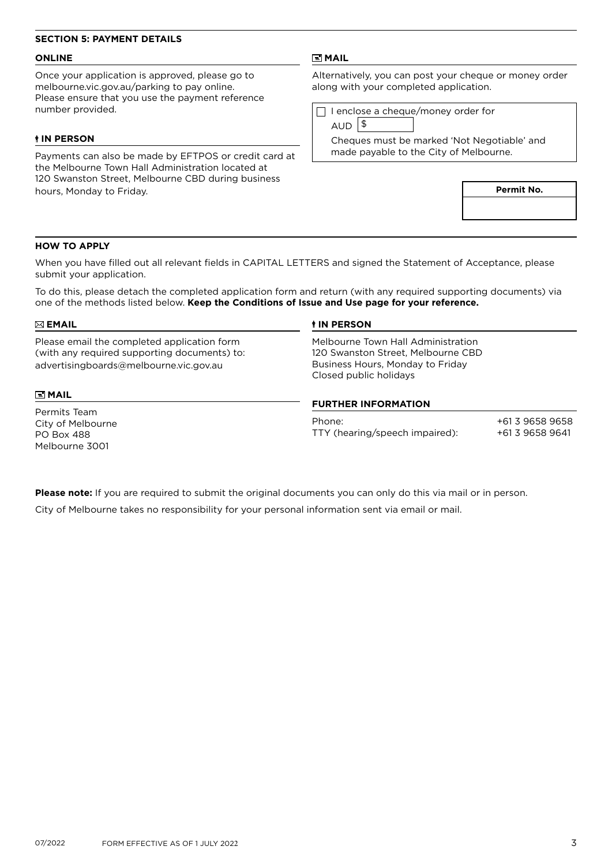# **SECTION 5: PAYMENT DETAILS**

## **Online**

Once your application is approved, please go to [melbourne.vic.gov.au/parking](http://www.melbourne.vic.gov.au/parking) to pay online. Please ensure that you use the payment reference number provided.

### **In person**

Payments can also be made by EFTPOS or credit card at the Melbourne Town Hall Administration located at 120 Swanston Street, Melbourne CBD during business hours, Monday to Friday.

## **mail**

Alternatively, you can post your cheque or money order along with your completed application.

 $\Box$  I enclose a cheque/money order for

 $AUD$ <sup>\$</sup>

Cheques must be marked 'Not Negotiable' and made payable to the City of Melbourne.

**Permit No.**

### **How to Apply**

When you have filled out all relevant fields in CAPITAL LETTERS and signed the Statement of Acceptance, please submit your application.

To do this, please detach the completed application form and return (with any required supporting documents) via one of the methods listed below. **Keep the Conditions of Issue and Use page for your reference.**

| $\boxtimes$ EMAIL                                                                                                                     | <b><i>IN PERSON</i></b>                                                                                                                                              |                                    |  |  |
|---------------------------------------------------------------------------------------------------------------------------------------|----------------------------------------------------------------------------------------------------------------------------------------------------------------------|------------------------------------|--|--|
| Please email the completed application form<br>(with any required supporting documents) to:<br>advertisingboards@melbourne.vic.gov.au | Melbourne Town Hall Administration<br>120 Swanston Street, Melbourne CBD<br>Business Hours, Monday to Friday<br>Closed public holidays<br><b>FURTHER INFORMATION</b> |                                    |  |  |
| $\Xi$ MAIL                                                                                                                            |                                                                                                                                                                      |                                    |  |  |
| Permits Team<br>City of Melbourne<br><b>PO Box 488</b><br>Melbourne 3001                                                              | Phone:<br>TTY (hearing/speech impaired):                                                                                                                             | +61 3 9658 9658<br>+61 3 9658 9641 |  |  |

**Please note:** If you are required to submit the original documents you can only do this via mail or in person. City of Melbourne takes no responsibility for your personal information sent via email or mail.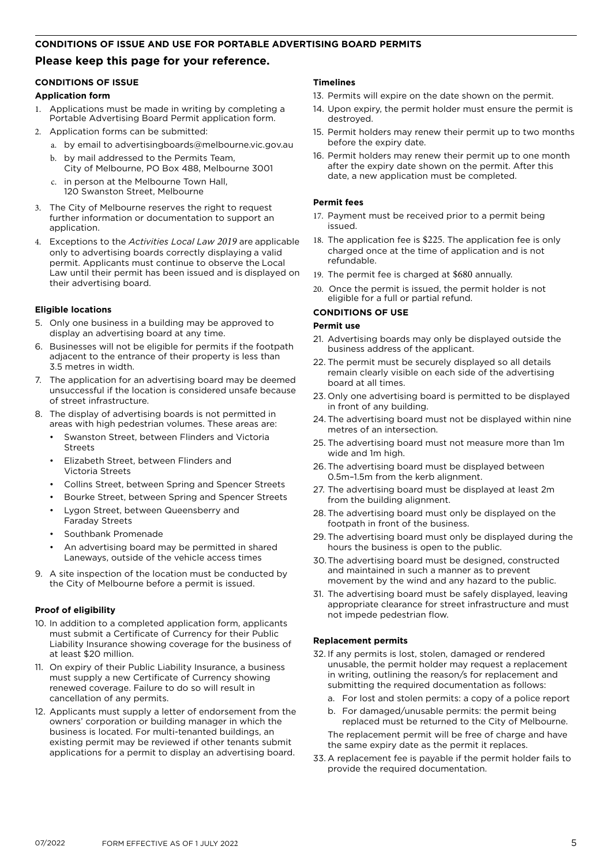### **CONDITIONs OF ISSUE AND USE FOR portable advertising board permits**

# **Please keep this page for your reference.**

# **CONDITIONS OF ISSUE**

# **Application form**

- Applications must be made in writing by completing a Portable Advertising Board Permit application form.
- 2. Application forms can be submitted:
	- a. by email to [advertisingboards@melbourne.vic.gov.au](mailto:advertisingboards%40melbourne.vic.gov.au?subject=)
	- b. by mail addressed to the Permits Team, City of Melbourne, PO Box 488, Melbourne 3001
	- c. in person at the Melbourne Town Hall, 120 Swanston Street, Melbourne
- 3. The City of Melbourne reserves the right to request further information or documentation to support an application.
- 4. Exceptions to the *Activities Local Law 2019* are applicable only to advertising boards correctly displaying a valid permit. Applicants must continue to observe the Local Law until their permit has been issued and is displayed on their advertising board.

# **Eligible locations**

- 5. Only one business in a building may be approved to display an advertising board at any time.
- 6. Businesses will not be eligible for permits if the footpath adjacent to the entrance of their property is less than 3.5 metres in width.
- 7. The application for an advertising board may be deemed unsuccessful if the location is considered unsafe because of street infrastructure.
- 8. The display of advertising boards is not permitted in areas with high pedestrian volumes. These areas are:
	- Swanston Street, between Flinders and Victoria Stroots
	- Elizabeth Street, between Flinders and Victoria Streets
	- Collins Street, between Spring and Spencer Streets
	- Bourke Street, between Spring and Spencer Streets
	- Lygon Street, between Queensberry and Faraday Streets
	- Southbank Promenade
	- An advertising board may be permitted in shared Laneways, outside of the vehicle access times
- 9. A site inspection of the location must be conducted by the City of Melbourne before a permit is issued.

# **Proof of eligibility**

- 10. In addition to a completed application form, applicants must submit a Certificate of Currency for their Public Liability Insurance showing coverage for the business of at least \$20 million.
- 11. On expiry of their Public Liability Insurance, a business must supply a new Certificate of Currency showing renewed coverage. Failure to do so will result in cancellation of any permits.
- 12. Applicants must supply a letter of endorsement from the owners' corporation or building manager in which the business is located. For multi-tenanted buildings, an existing permit may be reviewed if other tenants submit applications for a permit to display an advertising board.

# **Timelines**

- 13. Permits will expire on the date shown on the permit.
- 14. Upon expiry, the permit holder must ensure the permit is destroyed.
- 15. Permit holders may renew their permit up to two months before the expiry date.
- 16. Permit holders may renew their permit up to one month after the expiry date shown on the permit. After this date, a new application must be completed.

## **Permit fees**

- 17. Payment must be received prior to a permit being issued.
- 18. The application fee is \$225. The application fee is only charged once at the time of application and is not refundable.
- 19. The permit fee is charged at \$680 annually.
- 20. Once the permit is issued, the permit holder is not eligible for a full or partial refund.

# **Conditions of use**

## **Permit use**

- 21. Advertising boards may only be displayed outside the business address of the applicant.
- 22. The permit must be securely displayed so all details remain clearly visible on each side of the advertising board at all times.
- 23. Only one advertising board is permitted to be displayed in front of any building.
- 24. The advertising board must not be displayed within nine metres of an intersection.
- 25. The advertising board must not measure more than 1m wide and 1m high.
- 26. The advertising board must be displayed between 0.5m–1.5m from the kerb alignment.
- 27. The advertising board must be displayed at least 2m from the building alignment.
- 28. The advertising board must only be displayed on the footpath in front of the business.
- 29. The advertising board must only be displayed during the hours the business is open to the public.
- 30.The advertising board must be designed, constructed and maintained in such a manner as to prevent movement by the wind and any hazard to the public.
- 31. The advertising board must be safely displayed, leaving appropriate clearance for street infrastructure and must not impede pedestrian flow.

## **Replacement permits**

- 32. If any permits is lost, stolen, damaged or rendered unusable, the permit holder may request a replacement in writing, outlining the reason/s for replacement and submitting the required documentation as follows:
	- a. For lost and stolen permits: a copy of a police report
	- b. For damaged/unusable permits: the permit being replaced must be returned to the City of Melbourne. The replacement permit will be free of charge and have the same expiry date as the permit it replaces.
- 33. A replacement fee is payable if the permit holder fails to provide the required documentation.